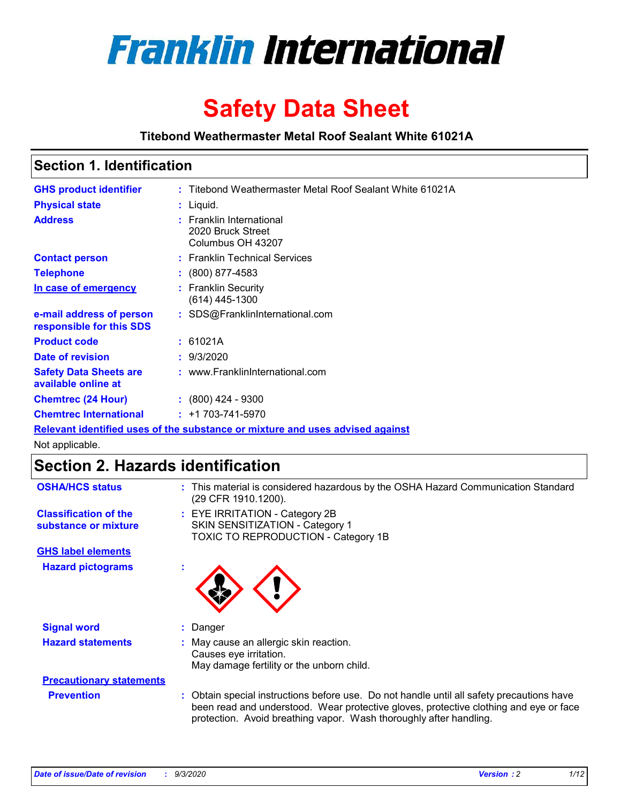

# **Safety Data Sheet**

**Titebond Weathermaster Metal Roof Sealant White 61021A**

### **Section 1. Identification**

| <b>GHS product identifier</b>                                                 |  | : Titebond Weathermaster Metal Roof Sealant White 61021A           |  |
|-------------------------------------------------------------------------------|--|--------------------------------------------------------------------|--|
| <b>Physical state</b>                                                         |  | : Liquid.                                                          |  |
| <b>Address</b>                                                                |  | : Franklin International<br>2020 Bruck Street<br>Columbus OH 43207 |  |
| <b>Contact person</b>                                                         |  | : Franklin Technical Services                                      |  |
| <b>Telephone</b>                                                              |  | $: (800) 877 - 4583$                                               |  |
| In case of emergency                                                          |  | : Franklin Security<br>(614) 445-1300                              |  |
| e-mail address of person<br>responsible for this SDS                          |  | : SDS@FranklinInternational.com                                    |  |
| <b>Product code</b>                                                           |  | : 61021A                                                           |  |
| Date of revision                                                              |  | : 9/3/2020                                                         |  |
| <b>Safety Data Sheets are</b><br>available online at                          |  | : www.FranklinInternational.com                                    |  |
| <b>Chemtrec (24 Hour)</b>                                                     |  | $\div$ (800) 424 - 9300                                            |  |
| <b>Chemtrec International</b>                                                 |  | $: +1703 - 741 - 5970$                                             |  |
| Relevant identified uses of the substance or mixture and uses advised against |  |                                                                    |  |

Not applicable.

## **Section 2. Hazards identification**

| <b>OSHA/HCS status</b>                               |    | : This material is considered hazardous by the OSHA Hazard Communication Standard<br>(29 CFR 1910.1200).                                                                                                                                                 |
|------------------------------------------------------|----|----------------------------------------------------------------------------------------------------------------------------------------------------------------------------------------------------------------------------------------------------------|
| <b>Classification of the</b><br>substance or mixture |    | : EYE IRRITATION - Category 2B<br>SKIN SENSITIZATION - Category 1<br>TOXIC TO REPRODUCTION - Category 1B                                                                                                                                                 |
| <b>GHS label elements</b>                            |    |                                                                                                                                                                                                                                                          |
| <b>Hazard pictograms</b>                             | ×. |                                                                                                                                                                                                                                                          |
| <b>Signal word</b>                                   | ÷. | Danger                                                                                                                                                                                                                                                   |
| <b>Hazard statements</b>                             |    | May cause an allergic skin reaction.<br>Causes eye irritation.<br>May damage fertility or the unborn child.                                                                                                                                              |
| <b>Precautionary statements</b>                      |    |                                                                                                                                                                                                                                                          |
| <b>Prevention</b>                                    |    | : Obtain special instructions before use. Do not handle until all safety precautions have<br>been read and understood. Wear protective gloves, protective clothing and eye or face<br>protection. Avoid breathing vapor. Wash thoroughly after handling. |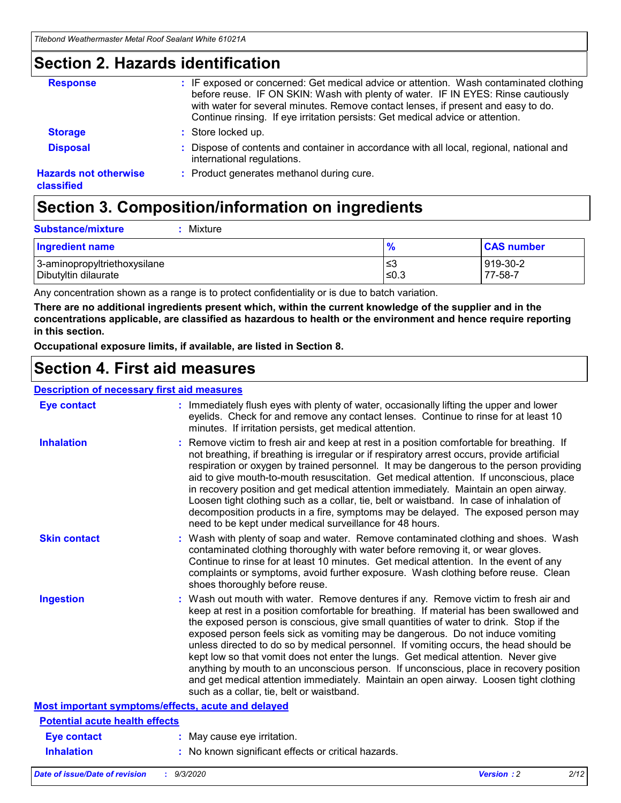### **Section 2. Hazards identification**

| <b>Response</b>                            | : IF exposed or concerned: Get medical advice or attention. Wash contaminated clothing<br>before reuse. IF ON SKIN: Wash with plenty of water. IF IN EYES: Rinse cautiously<br>with water for several minutes. Remove contact lenses, if present and easy to do.<br>Continue rinsing. If eye irritation persists: Get medical advice or attention. |
|--------------------------------------------|----------------------------------------------------------------------------------------------------------------------------------------------------------------------------------------------------------------------------------------------------------------------------------------------------------------------------------------------------|
| <b>Storage</b>                             | : Store locked up.                                                                                                                                                                                                                                                                                                                                 |
| <b>Disposal</b>                            | : Dispose of contents and container in accordance with all local, regional, national and<br>international regulations.                                                                                                                                                                                                                             |
| <b>Hazards not otherwise</b><br>classified | : Product generates methanol during cure.                                                                                                                                                                                                                                                                                                          |

## **Section 3. Composition/information on ingredients**

| <b>Substance/mixture</b> |  | $:$ Mixture |
|--------------------------|--|-------------|
|--------------------------|--|-------------|

| <b>Ingredient name</b>       | $\mathbf{o}$<br>70 | <b>CAS number</b> |
|------------------------------|--------------------|-------------------|
| 3-aminopropyltriethoxysilane | צ≥                 | 919-30-2          |
| Dibutyltin dilaurate         | ∣≤0.3              | 77-58-7           |

Any concentration shown as a range is to protect confidentiality or is due to batch variation.

**There are no additional ingredients present which, within the current knowledge of the supplier and in the concentrations applicable, are classified as hazardous to health or the environment and hence require reporting in this section.**

**Occupational exposure limits, if available, are listed in Section 8.**

### **Section 4. First aid measures**

| <b>Description of necessary first aid measures</b> |                                                                                                                                                                                                                                                                                                                                                                                                                                                                                                                                                                                                                                                                                                                                                                           |
|----------------------------------------------------|---------------------------------------------------------------------------------------------------------------------------------------------------------------------------------------------------------------------------------------------------------------------------------------------------------------------------------------------------------------------------------------------------------------------------------------------------------------------------------------------------------------------------------------------------------------------------------------------------------------------------------------------------------------------------------------------------------------------------------------------------------------------------|
| <b>Eye contact</b>                                 | : Immediately flush eyes with plenty of water, occasionally lifting the upper and lower<br>eyelids. Check for and remove any contact lenses. Continue to rinse for at least 10<br>minutes. If irritation persists, get medical attention.                                                                                                                                                                                                                                                                                                                                                                                                                                                                                                                                 |
| <b>Inhalation</b>                                  | : Remove victim to fresh air and keep at rest in a position comfortable for breathing. If<br>not breathing, if breathing is irregular or if respiratory arrest occurs, provide artificial<br>respiration or oxygen by trained personnel. It may be dangerous to the person providing<br>aid to give mouth-to-mouth resuscitation. Get medical attention. If unconscious, place<br>in recovery position and get medical attention immediately. Maintain an open airway.<br>Loosen tight clothing such as a collar, tie, belt or waistband. In case of inhalation of<br>decomposition products in a fire, symptoms may be delayed. The exposed person may<br>need to be kept under medical surveillance for 48 hours.                                                       |
| <b>Skin contact</b>                                | : Wash with plenty of soap and water. Remove contaminated clothing and shoes. Wash<br>contaminated clothing thoroughly with water before removing it, or wear gloves.<br>Continue to rinse for at least 10 minutes. Get medical attention. In the event of any<br>complaints or symptoms, avoid further exposure. Wash clothing before reuse. Clean<br>shoes thoroughly before reuse.                                                                                                                                                                                                                                                                                                                                                                                     |
| <b>Ingestion</b>                                   | : Wash out mouth with water. Remove dentures if any. Remove victim to fresh air and<br>keep at rest in a position comfortable for breathing. If material has been swallowed and<br>the exposed person is conscious, give small quantities of water to drink. Stop if the<br>exposed person feels sick as vomiting may be dangerous. Do not induce vomiting<br>unless directed to do so by medical personnel. If vomiting occurs, the head should be<br>kept low so that vomit does not enter the lungs. Get medical attention. Never give<br>anything by mouth to an unconscious person. If unconscious, place in recovery position<br>and get medical attention immediately. Maintain an open airway. Loosen tight clothing<br>such as a collar, tie, belt or waistband. |
| Most important symptoms/effects, acute and delayed |                                                                                                                                                                                                                                                                                                                                                                                                                                                                                                                                                                                                                                                                                                                                                                           |
| <b>Potential acute health effects</b>              |                                                                                                                                                                                                                                                                                                                                                                                                                                                                                                                                                                                                                                                                                                                                                                           |
| <b>Eye contact</b>                                 | : May cause eye irritation.                                                                                                                                                                                                                                                                                                                                                                                                                                                                                                                                                                                                                                                                                                                                               |
| <b>Inhalation</b>                                  | : No known significant effects or critical hazards.                                                                                                                                                                                                                                                                                                                                                                                                                                                                                                                                                                                                                                                                                                                       |
|                                                    |                                                                                                                                                                                                                                                                                                                                                                                                                                                                                                                                                                                                                                                                                                                                                                           |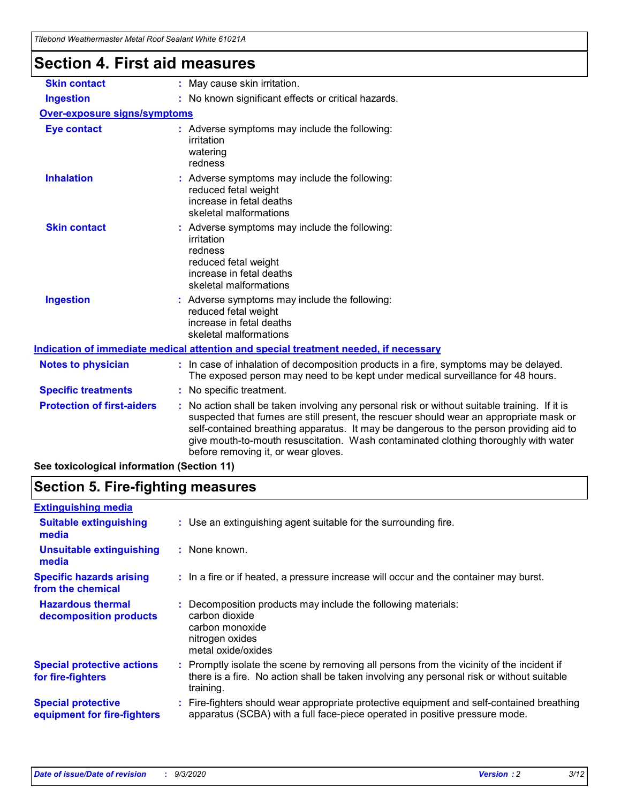| Titebond Weathermaster Metal Roof Sealant White 61021A                               |                                                                                                                                                                                                                                                                                                                                                                                                                 |  |  |  |
|--------------------------------------------------------------------------------------|-----------------------------------------------------------------------------------------------------------------------------------------------------------------------------------------------------------------------------------------------------------------------------------------------------------------------------------------------------------------------------------------------------------------|--|--|--|
| <b>Section 4. First aid measures</b>                                                 |                                                                                                                                                                                                                                                                                                                                                                                                                 |  |  |  |
| <b>Skin contact</b>                                                                  | : May cause skin irritation.                                                                                                                                                                                                                                                                                                                                                                                    |  |  |  |
| <b>Ingestion</b>                                                                     | : No known significant effects or critical hazards.                                                                                                                                                                                                                                                                                                                                                             |  |  |  |
| <b>Over-exposure signs/symptoms</b>                                                  |                                                                                                                                                                                                                                                                                                                                                                                                                 |  |  |  |
| <b>Eye contact</b>                                                                   | : Adverse symptoms may include the following:<br>irritation<br>watering<br>redness                                                                                                                                                                                                                                                                                                                              |  |  |  |
| <b>Inhalation</b>                                                                    | : Adverse symptoms may include the following:<br>reduced fetal weight<br>increase in fetal deaths<br>skeletal malformations                                                                                                                                                                                                                                                                                     |  |  |  |
| <b>Skin contact</b>                                                                  | : Adverse symptoms may include the following:<br>irritation<br>redness<br>reduced fetal weight<br>increase in fetal deaths<br>skeletal malformations                                                                                                                                                                                                                                                            |  |  |  |
| <b>Ingestion</b>                                                                     | : Adverse symptoms may include the following:<br>reduced fetal weight<br>increase in fetal deaths<br>skeletal malformations                                                                                                                                                                                                                                                                                     |  |  |  |
| Indication of immediate medical attention and special treatment needed, if necessary |                                                                                                                                                                                                                                                                                                                                                                                                                 |  |  |  |
| <b>Notes to physician</b>                                                            | : In case of inhalation of decomposition products in a fire, symptoms may be delayed.<br>The exposed person may need to be kept under medical surveillance for 48 hours.                                                                                                                                                                                                                                        |  |  |  |
| <b>Specific treatments</b>                                                           | : No specific treatment.                                                                                                                                                                                                                                                                                                                                                                                        |  |  |  |
| <b>Protection of first-aiders</b>                                                    | : No action shall be taken involving any personal risk or without suitable training. If it is<br>suspected that fumes are still present, the rescuer should wear an appropriate mask or<br>self-contained breathing apparatus. It may be dangerous to the person providing aid to<br>give mouth-to-mouth resuscitation. Wash contaminated clothing thoroughly with water<br>before removing it, or wear gloves. |  |  |  |

**See toxicological information (Section 11)**

## **Section 5. Fire-fighting measures**

| <b>Extinguishing media</b>                               |                                                                                                                                                                                                   |
|----------------------------------------------------------|---------------------------------------------------------------------------------------------------------------------------------------------------------------------------------------------------|
| <b>Suitable extinguishing</b><br>media                   | : Use an extinguishing agent suitable for the surrounding fire.                                                                                                                                   |
| <b>Unsuitable extinguishing</b><br>media                 | : None known.                                                                                                                                                                                     |
| <b>Specific hazards arising</b><br>from the chemical     | : In a fire or if heated, a pressure increase will occur and the container may burst.                                                                                                             |
| <b>Hazardous thermal</b><br>decomposition products       | Decomposition products may include the following materials:<br>carbon dioxide<br>carbon monoxide<br>nitrogen oxides<br>metal oxide/oxides                                                         |
| <b>Special protective actions</b><br>for fire-fighters   | Promptly isolate the scene by removing all persons from the vicinity of the incident if<br>there is a fire. No action shall be taken involving any personal risk or without suitable<br>training. |
| <b>Special protective</b><br>equipment for fire-fighters | Fire-fighters should wear appropriate protective equipment and self-contained breathing<br>apparatus (SCBA) with a full face-piece operated in positive pressure mode.                            |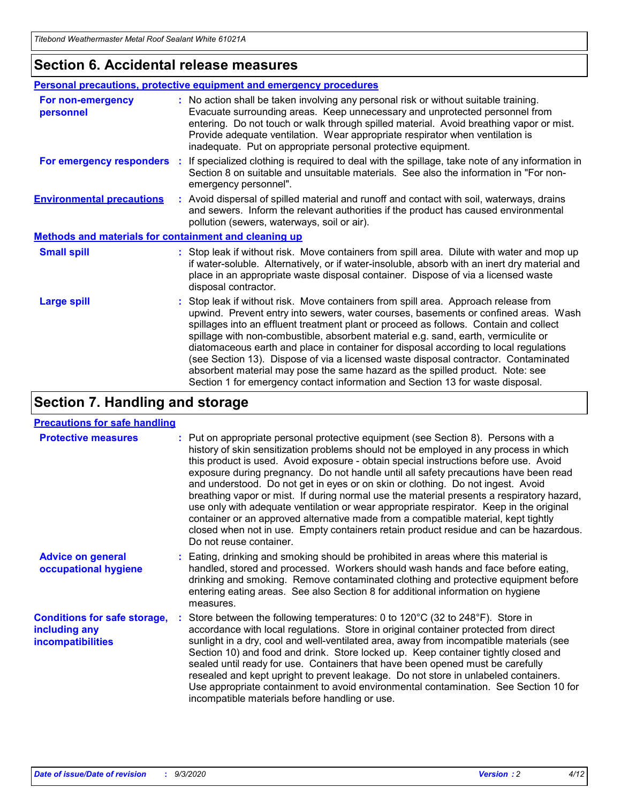### **Section 6. Accidental release measures**

|                                                              | <b>Personal precautions, protective equipment and emergency procedures</b>                                                                                                                                                                                                                                                                                                                                                                                                                                                                                                                                                                                                                                   |  |  |  |
|--------------------------------------------------------------|--------------------------------------------------------------------------------------------------------------------------------------------------------------------------------------------------------------------------------------------------------------------------------------------------------------------------------------------------------------------------------------------------------------------------------------------------------------------------------------------------------------------------------------------------------------------------------------------------------------------------------------------------------------------------------------------------------------|--|--|--|
| For non-emergency<br>personnel                               | : No action shall be taken involving any personal risk or without suitable training.<br>Evacuate surrounding areas. Keep unnecessary and unprotected personnel from<br>entering. Do not touch or walk through spilled material. Avoid breathing vapor or mist.<br>Provide adequate ventilation. Wear appropriate respirator when ventilation is<br>inadequate. Put on appropriate personal protective equipment.                                                                                                                                                                                                                                                                                             |  |  |  |
| For emergency responders                                     | : If specialized clothing is required to deal with the spillage, take note of any information in<br>Section 8 on suitable and unsuitable materials. See also the information in "For non-<br>emergency personnel".                                                                                                                                                                                                                                                                                                                                                                                                                                                                                           |  |  |  |
| <b>Environmental precautions</b>                             | : Avoid dispersal of spilled material and runoff and contact with soil, waterways, drains<br>and sewers. Inform the relevant authorities if the product has caused environmental<br>pollution (sewers, waterways, soil or air).                                                                                                                                                                                                                                                                                                                                                                                                                                                                              |  |  |  |
| <b>Methods and materials for containment and cleaning up</b> |                                                                                                                                                                                                                                                                                                                                                                                                                                                                                                                                                                                                                                                                                                              |  |  |  |
| <b>Small spill</b>                                           | : Stop leak if without risk. Move containers from spill area. Dilute with water and mop up<br>if water-soluble. Alternatively, or if water-insoluble, absorb with an inert dry material and<br>place in an appropriate waste disposal container. Dispose of via a licensed waste<br>disposal contractor.                                                                                                                                                                                                                                                                                                                                                                                                     |  |  |  |
| <b>Large spill</b>                                           | : Stop leak if without risk. Move containers from spill area. Approach release from<br>upwind. Prevent entry into sewers, water courses, basements or confined areas. Wash<br>spillages into an effluent treatment plant or proceed as follows. Contain and collect<br>spillage with non-combustible, absorbent material e.g. sand, earth, vermiculite or<br>diatomaceous earth and place in container for disposal according to local regulations<br>(see Section 13). Dispose of via a licensed waste disposal contractor. Contaminated<br>absorbent material may pose the same hazard as the spilled product. Note: see<br>Section 1 for emergency contact information and Section 13 for waste disposal. |  |  |  |

## **Section 7. Handling and storage**

### **Precautions for safe handling**

| <b>Protective measures</b>                                                       | : Put on appropriate personal protective equipment (see Section 8). Persons with a<br>history of skin sensitization problems should not be employed in any process in which<br>this product is used. Avoid exposure - obtain special instructions before use. Avoid<br>exposure during pregnancy. Do not handle until all safety precautions have been read<br>and understood. Do not get in eyes or on skin or clothing. Do not ingest. Avoid<br>breathing vapor or mist. If during normal use the material presents a respiratory hazard,<br>use only with adequate ventilation or wear appropriate respirator. Keep in the original<br>container or an approved alternative made from a compatible material, kept tightly<br>closed when not in use. Empty containers retain product residue and can be hazardous.<br>Do not reuse container. |
|----------------------------------------------------------------------------------|--------------------------------------------------------------------------------------------------------------------------------------------------------------------------------------------------------------------------------------------------------------------------------------------------------------------------------------------------------------------------------------------------------------------------------------------------------------------------------------------------------------------------------------------------------------------------------------------------------------------------------------------------------------------------------------------------------------------------------------------------------------------------------------------------------------------------------------------------|
| <b>Advice on general</b><br>occupational hygiene                                 | : Eating, drinking and smoking should be prohibited in areas where this material is<br>handled, stored and processed. Workers should wash hands and face before eating,<br>drinking and smoking. Remove contaminated clothing and protective equipment before<br>entering eating areas. See also Section 8 for additional information on hygiene<br>measures.                                                                                                                                                                                                                                                                                                                                                                                                                                                                                    |
| <b>Conditions for safe storage,</b><br>including any<br><i>incompatibilities</i> | Store between the following temperatures: 0 to 120°C (32 to 248°F). Store in<br>accordance with local regulations. Store in original container protected from direct<br>sunlight in a dry, cool and well-ventilated area, away from incompatible materials (see<br>Section 10) and food and drink. Store locked up. Keep container tightly closed and<br>sealed until ready for use. Containers that have been opened must be carefully<br>resealed and kept upright to prevent leakage. Do not store in unlabeled containers.<br>Use appropriate containment to avoid environmental contamination. See Section 10 for<br>incompatible materials before handling or use.                                                                                                                                                                         |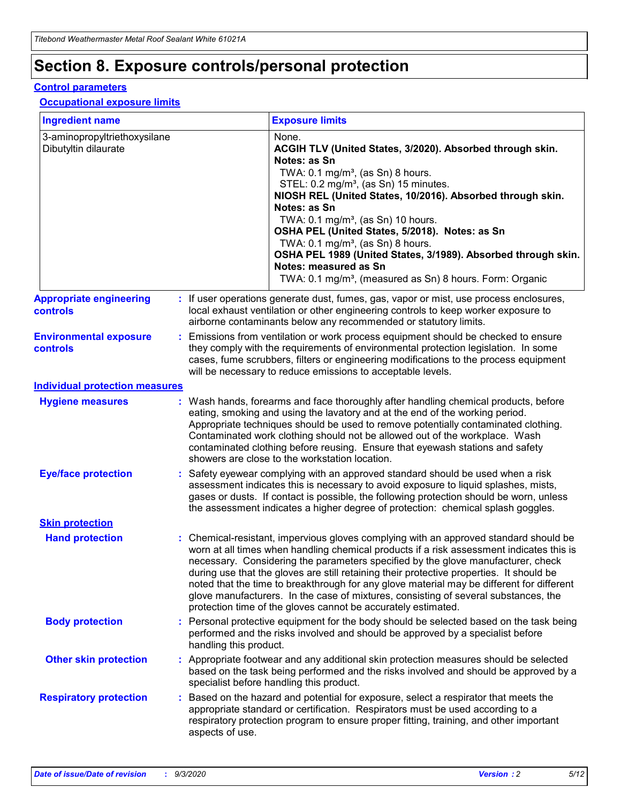## **Section 8. Exposure controls/personal protection**

### **Control parameters**

### **Occupational exposure limits**

| <b>Ingredient name</b>                               |    |                        | <b>Exposure limits</b>                                                                                                                                                                                                                                                                                                                                                                                                                                                                                                                                                                                                 |
|------------------------------------------------------|----|------------------------|------------------------------------------------------------------------------------------------------------------------------------------------------------------------------------------------------------------------------------------------------------------------------------------------------------------------------------------------------------------------------------------------------------------------------------------------------------------------------------------------------------------------------------------------------------------------------------------------------------------------|
| 3-aminopropyltriethoxysilane<br>Dibutyltin dilaurate |    |                        | None.<br>ACGIH TLV (United States, 3/2020). Absorbed through skin.<br>Notes: as Sn<br>TWA: $0.1 \text{ mg/m}^3$ , (as Sn) 8 hours.<br>STEL: 0.2 mg/m <sup>3</sup> , (as Sn) 15 minutes.<br>NIOSH REL (United States, 10/2016). Absorbed through skin.<br>Notes: as Sn<br>TWA: 0.1 mg/m <sup>3</sup> , (as Sn) 10 hours.<br>OSHA PEL (United States, 5/2018). Notes: as Sn<br>TWA: 0.1 mg/m <sup>3</sup> , (as Sn) 8 hours.<br>OSHA PEL 1989 (United States, 3/1989). Absorbed through skin.<br>Notes: measured as Sn<br>TWA: 0.1 mg/m <sup>3</sup> , (measured as Sn) 8 hours. Form: Organic                           |
| <b>Appropriate engineering</b><br>controls           |    |                        | : If user operations generate dust, fumes, gas, vapor or mist, use process enclosures,<br>local exhaust ventilation or other engineering controls to keep worker exposure to<br>airborne contaminants below any recommended or statutory limits.                                                                                                                                                                                                                                                                                                                                                                       |
| <b>Environmental exposure</b><br>controls            |    |                        | Emissions from ventilation or work process equipment should be checked to ensure<br>they comply with the requirements of environmental protection legislation. In some<br>cases, fume scrubbers, filters or engineering modifications to the process equipment<br>will be necessary to reduce emissions to acceptable levels.                                                                                                                                                                                                                                                                                          |
| <b>Individual protection measures</b>                |    |                        |                                                                                                                                                                                                                                                                                                                                                                                                                                                                                                                                                                                                                        |
| <b>Hygiene measures</b>                              |    |                        | : Wash hands, forearms and face thoroughly after handling chemical products, before<br>eating, smoking and using the lavatory and at the end of the working period.<br>Appropriate techniques should be used to remove potentially contaminated clothing.<br>Contaminated work clothing should not be allowed out of the workplace. Wash<br>contaminated clothing before reusing. Ensure that eyewash stations and safety<br>showers are close to the workstation location.                                                                                                                                            |
| <b>Eye/face protection</b>                           |    |                        | Safety eyewear complying with an approved standard should be used when a risk<br>assessment indicates this is necessary to avoid exposure to liquid splashes, mists,<br>gases or dusts. If contact is possible, the following protection should be worn, unless<br>the assessment indicates a higher degree of protection: chemical splash goggles.                                                                                                                                                                                                                                                                    |
| <b>Skin protection</b>                               |    |                        |                                                                                                                                                                                                                                                                                                                                                                                                                                                                                                                                                                                                                        |
| <b>Hand protection</b>                               |    |                        | : Chemical-resistant, impervious gloves complying with an approved standard should be<br>worn at all times when handling chemical products if a risk assessment indicates this is<br>necessary. Considering the parameters specified by the glove manufacturer, check<br>during use that the gloves are still retaining their protective properties. It should be<br>noted that the time to breakthrough for any glove material may be different for different<br>glove manufacturers. In the case of mixtures, consisting of several substances, the<br>protection time of the gloves cannot be accurately estimated. |
| <b>Body protection</b>                               |    | handling this product. | Personal protective equipment for the body should be selected based on the task being<br>performed and the risks involved and should be approved by a specialist before                                                                                                                                                                                                                                                                                                                                                                                                                                                |
| <b>Other skin protection</b>                         |    |                        | : Appropriate footwear and any additional skin protection measures should be selected<br>based on the task being performed and the risks involved and should be approved by a<br>specialist before handling this product.                                                                                                                                                                                                                                                                                                                                                                                              |
| <b>Respiratory protection</b>                        | ÷. | aspects of use.        | Based on the hazard and potential for exposure, select a respirator that meets the<br>appropriate standard or certification. Respirators must be used according to a<br>respiratory protection program to ensure proper fitting, training, and other important                                                                                                                                                                                                                                                                                                                                                         |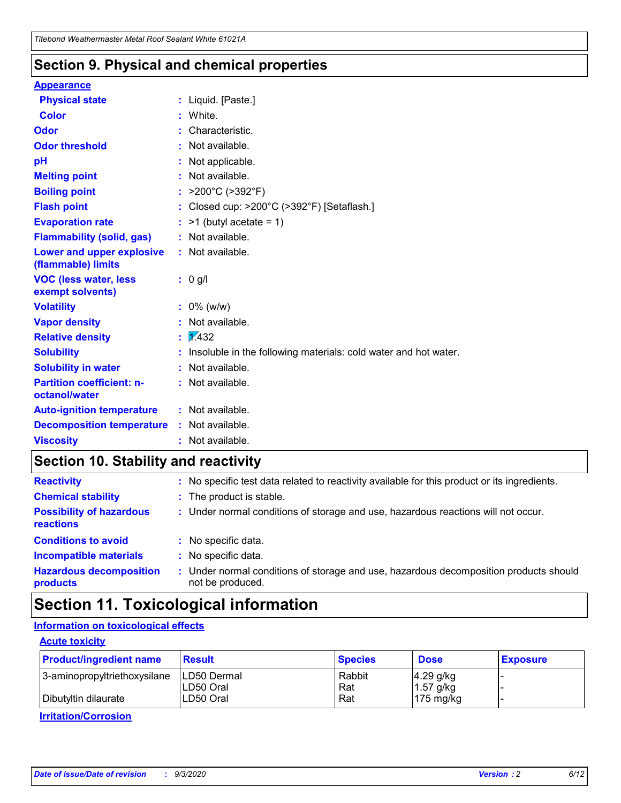### **Section 9. Physical and chemical properties**

### **Appearance**

| <b>Physical state</b>                             |    | : Liquid. [Paste.]                                              |
|---------------------------------------------------|----|-----------------------------------------------------------------|
| <b>Color</b>                                      |    | White.                                                          |
| Odor                                              |    | Characteristic.                                                 |
| <b>Odor threshold</b>                             |    | Not available.                                                  |
| рH                                                |    | Not applicable.                                                 |
| <b>Melting point</b>                              |    | Not available.                                                  |
| <b>Boiling point</b>                              |    | : $>200^{\circ}$ C ( $>392^{\circ}$ F)                          |
| <b>Flash point</b>                                |    | Closed cup: >200°C (>392°F) [Setaflash.]                        |
| <b>Evaporation rate</b>                           |    | $:$ >1 (butyl acetate = 1)                                      |
| <b>Flammability (solid, gas)</b>                  |    | : Not available.                                                |
| Lower and upper explosive<br>(flammable) limits   |    | : Not available.                                                |
| <b>VOC (less water, less</b><br>exempt solvents)  |    | : 0 g/l                                                         |
| <b>Volatility</b>                                 |    | $: 0\%$ (w/w)                                                   |
| <b>Vapor density</b>                              |    | Not available.                                                  |
| <b>Relative density</b>                           | ÷. | $\sqrt{1/432}$                                                  |
| <b>Solubility</b>                                 |    | Insoluble in the following materials: cold water and hot water. |
| <b>Solubility in water</b>                        |    | Not available.                                                  |
| <b>Partition coefficient: n-</b><br>octanol/water |    | : Not available.                                                |
| <b>Auto-ignition temperature</b>                  |    | $:$ Not available.                                              |
| <b>Decomposition temperature</b>                  |    | : Not available.                                                |
| <b>Viscosity</b>                                  |    | $:$ Not available.                                              |

## **Section 10. Stability and reactivity**

| <b>Reactivity</b>                            |    | : No specific test data related to reactivity available for this product or its ingredients.            |
|----------------------------------------------|----|---------------------------------------------------------------------------------------------------------|
| <b>Chemical stability</b>                    |    | : The product is stable.                                                                                |
| <b>Possibility of hazardous</b><br>reactions |    | : Under normal conditions of storage and use, hazardous reactions will not occur.                       |
| <b>Conditions to avoid</b>                   |    | : No specific data.                                                                                     |
| <b>Incompatible materials</b>                | ٠. | No specific data.                                                                                       |
| <b>Hazardous decomposition</b><br>products   | ÷. | Under normal conditions of storage and use, hazardous decomposition products should<br>not be produced. |

## **Section 11. Toxicological information**

### **Information on toxicological effects**

### **Acute toxicity**

| <b>Product/ingredient name</b> | <b>Result</b>           | <b>Species</b> | <b>Dose</b>                | <b>Exposure</b> |
|--------------------------------|-------------------------|----------------|----------------------------|-----------------|
| 3-aminopropyltriethoxysilane   | <b>ILD50 Dermal</b>     | Rabbit         | 4.29 g/kg                  |                 |
| Dibutyltin dilaurate           | ILD50 Oral<br>LD50 Oral | Rat<br>Rat     | $1.57$ g/kg<br>175 $mg/kg$ |                 |
|                                |                         |                |                            |                 |

**Irritation/Corrosion**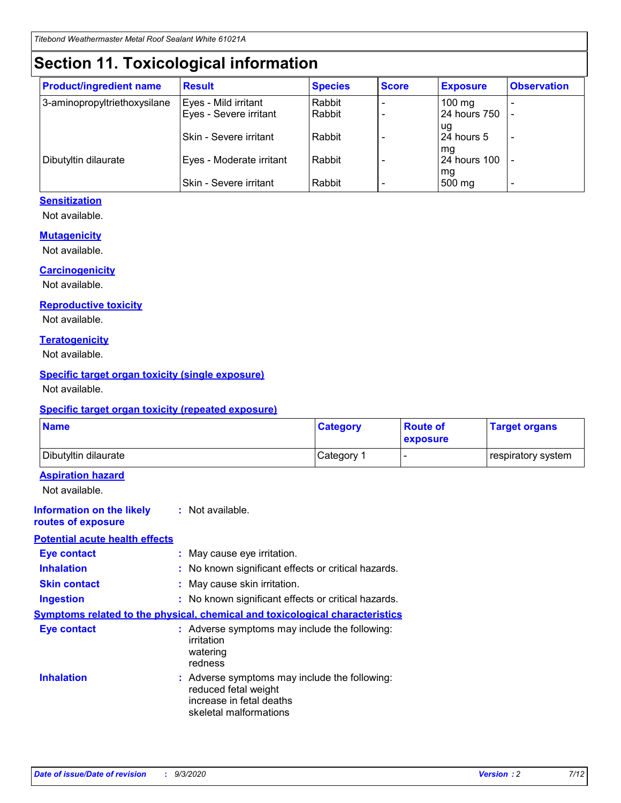## **Section 11. Toxicological information**

| <b>Product/ingredient name</b> | <b>Result</b>                 | <b>Species</b> | <b>Score</b> | <b>Exposure</b>    | <b>Observation</b>       |
|--------------------------------|-------------------------------|----------------|--------------|--------------------|--------------------------|
| 3-aminopropyltriethoxysilane   | Eyes - Mild irritant          | Rabbit         |              | $100 \text{ mg}$   |                          |
|                                | Eyes - Severe irritant        | Rabbit         |              | 24 hours 750       |                          |
|                                |                               |                |              | ug                 |                          |
|                                | <b>Skin - Severe irritant</b> | Rabbit         |              | 24 hours 5         | $\overline{\phantom{a}}$ |
| Dibutyltin dilaurate           | Eyes - Moderate irritant      | Rabbit         |              | mg<br>24 hours 100 |                          |
|                                |                               |                |              | mg                 |                          |
|                                | Skin - Severe irritant        | Rabbit         |              | 500 mg             | -                        |

### **Sensitization**

Not available.

### **Mutagenicity**

Not available.

### **Carcinogenicity**

Not available.

### **Reproductive toxicity**

Not available.

### **Teratogenicity**

Not available.

### **Specific target organ toxicity (single exposure)**

Not available.

### **Specific target organ toxicity (repeated exposure)**

| <b>Name</b>                                                                  |                                                                            | <b>Category</b>                                     | <b>Route of</b><br>exposure | <b>Target organs</b> |  |
|------------------------------------------------------------------------------|----------------------------------------------------------------------------|-----------------------------------------------------|-----------------------------|----------------------|--|
| Dibutyltin dilaurate                                                         |                                                                            | Category 1                                          |                             | respiratory system   |  |
| <b>Aspiration hazard</b><br>Not available.                                   |                                                                            |                                                     |                             |                      |  |
| <b>Information on the likely</b><br>routes of exposure                       | : Not available.                                                           |                                                     |                             |                      |  |
| <b>Potential acute health effects</b>                                        |                                                                            |                                                     |                             |                      |  |
| <b>Eye contact</b>                                                           | : May cause eye irritation.                                                |                                                     |                             |                      |  |
| <b>Inhalation</b>                                                            |                                                                            | : No known significant effects or critical hazards. |                             |                      |  |
| <b>Skin contact</b>                                                          |                                                                            | : May cause skin irritation.                        |                             |                      |  |
| <b>Ingestion</b>                                                             |                                                                            | : No known significant effects or critical hazards. |                             |                      |  |
| Symptoms related to the physical, chemical and toxicological characteristics |                                                                            |                                                     |                             |                      |  |
| <b>Eye contact</b>                                                           | irritation<br>watering<br>redness                                          | : Adverse symptoms may include the following:       |                             |                      |  |
| <b>Inhalation</b>                                                            | reduced fetal weight<br>increase in fetal deaths<br>skeletal malformations | : Adverse symptoms may include the following:       |                             |                      |  |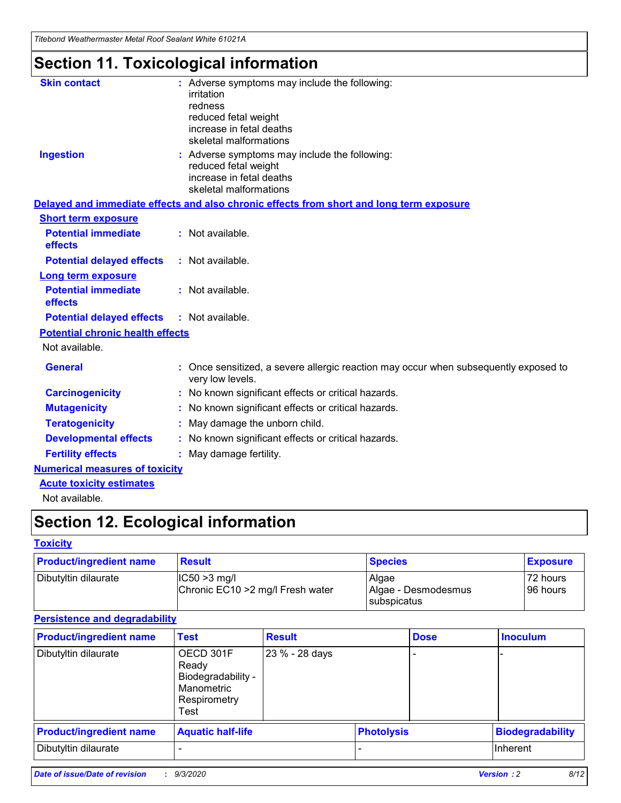*Titebond Weathermaster Metal Roof Sealant White 61021A*

## **Section 11. Toxicological information**

| <b>Skin contact</b>                     | irritation<br>redness<br>reduced fetal weight<br>increase in fetal deaths<br>skeletal malformations | : Adverse symptoms may include the following:                                            |
|-----------------------------------------|-----------------------------------------------------------------------------------------------------|------------------------------------------------------------------------------------------|
| <b>Ingestion</b>                        | reduced fetal weight<br>increase in fetal deaths<br>skeletal malformations                          | : Adverse symptoms may include the following:                                            |
|                                         |                                                                                                     | Delayed and immediate effects and also chronic effects from short and long term exposure |
| <b>Short term exposure</b>              |                                                                                                     |                                                                                          |
| <b>Potential immediate</b><br>effects   | : Not available.                                                                                    |                                                                                          |
| <b>Potential delayed effects</b>        | : Not available.                                                                                    |                                                                                          |
| <b>Long term exposure</b>               |                                                                                                     |                                                                                          |
| <b>Potential immediate</b><br>effects   | : Not available.                                                                                    |                                                                                          |
| <b>Potential delayed effects</b>        | : Not available.                                                                                    |                                                                                          |
| <b>Potential chronic health effects</b> |                                                                                                     |                                                                                          |
| Not available.                          |                                                                                                     |                                                                                          |
| <b>General</b>                          | very low levels.                                                                                    | : Once sensitized, a severe allergic reaction may occur when subsequently exposed to     |
| <b>Carcinogenicity</b>                  |                                                                                                     | : No known significant effects or critical hazards.                                      |
| <b>Mutagenicity</b>                     |                                                                                                     | No known significant effects or critical hazards.                                        |
| <b>Teratogenicity</b>                   |                                                                                                     | May damage the unborn child.                                                             |
| <b>Developmental effects</b>            |                                                                                                     | : No known significant effects or critical hazards.                                      |
| <b>Fertility effects</b>                | May damage fertility.                                                                               |                                                                                          |
| <b>Numerical measures of toxicity</b>   |                                                                                                     |                                                                                          |
| <b>Acute toxicity estimates</b>         |                                                                                                     |                                                                                          |
| Not available.                          |                                                                                                     |                                                                                          |

## **Section 12. Ecological information**

### **Toxicity**

| <b>Product/ingredient name</b> | <b>Result</b>                                       | <b>Species</b>               | <b>Exposure</b>       |
|--------------------------------|-----------------------------------------------------|------------------------------|-----------------------|
| Dibutyltin dilaurate           | $ IC50>3$ mg/l<br>Chronic EC10 > 2 mg/l Fresh water | Algae<br>Algae - Desmodesmus | 72 hours<br>196 hours |
|                                |                                                     | subspicatus                  |                       |

### **Persistence and degradability**

| <b>Product/ingredient name</b> | <b>Test</b>                                                                    | <b>Result</b>  |                   | <b>Dose</b> | <b>Inoculum</b>         |
|--------------------------------|--------------------------------------------------------------------------------|----------------|-------------------|-------------|-------------------------|
| Dibutyltin dilaurate           | OECD 301F<br>Ready<br>Biodegradability -<br>Manometric<br>Respirometry<br>Test | 23 % - 28 days |                   |             |                         |
| <b>Product/ingredient name</b> | <b>Aquatic half-life</b>                                                       |                | <b>Photolysis</b> |             | <b>Biodegradability</b> |
| Dibutyltin dilaurate           |                                                                                |                |                   |             | <b>Inherent</b>         |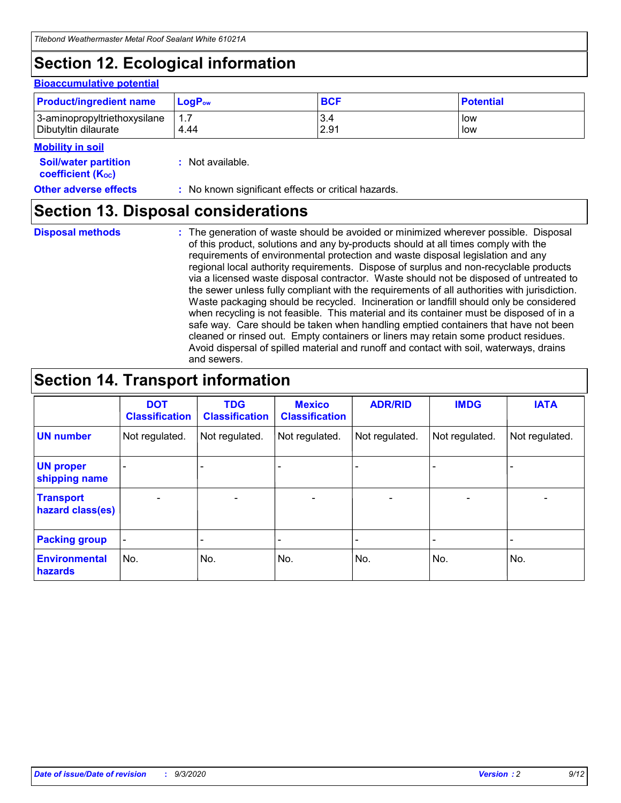## **Section 12. Ecological information**

#### **Bioaccumulative potential**

| <b>Product/ingredient name</b> | $\mathsf{LogP}_\mathsf{ow}$ | <b>BCF</b> | <b>Potential</b> |
|--------------------------------|-----------------------------|------------|------------------|
| 3-aminopropyltriethoxysilane   | 1.7                         | 3.4        | low              |
| Dibutyltin dilaurate           | 4.44                        | 2.91       | low              |

### **Mobility in soil**

| <b>INIUDIIILY III SUII</b><br><b>Soil/water partition</b><br>coefficient (K <sub>oc</sub> ) | : Not available.                                    |
|---------------------------------------------------------------------------------------------|-----------------------------------------------------|
| <b>Other adverse effects</b>                                                                | : No known significant effects or critical hazards. |

### **Section 13. Disposal considerations**

**Disposal methods :**

The generation of waste should be avoided or minimized wherever possible. Disposal of this product, solutions and any by-products should at all times comply with the requirements of environmental protection and waste disposal legislation and any regional local authority requirements. Dispose of surplus and non-recyclable products via a licensed waste disposal contractor. Waste should not be disposed of untreated to the sewer unless fully compliant with the requirements of all authorities with jurisdiction. Waste packaging should be recycled. Incineration or landfill should only be considered when recycling is not feasible. This material and its container must be disposed of in a safe way. Care should be taken when handling emptied containers that have not been cleaned or rinsed out. Empty containers or liners may retain some product residues. Avoid dispersal of spilled material and runoff and contact with soil, waterways, drains and sewers.

## **Section 14. Transport information**

|                                      | <b>DOT</b><br><b>Classification</b> | <b>TDG</b><br><b>Classification</b> | <b>Mexico</b><br><b>Classification</b> | <b>ADR/RID</b>           | <b>IMDG</b>              | <b>IATA</b>    |
|--------------------------------------|-------------------------------------|-------------------------------------|----------------------------------------|--------------------------|--------------------------|----------------|
| <b>UN number</b>                     | Not regulated.                      | Not regulated.                      | Not regulated.                         | Not regulated.           | Not regulated.           | Not regulated. |
| <b>UN proper</b><br>shipping name    |                                     |                                     |                                        |                          |                          |                |
| <b>Transport</b><br>hazard class(es) |                                     | $\overline{\phantom{0}}$            | $\qquad \qquad \blacksquare$           | $\overline{\phantom{0}}$ | $\overline{\phantom{0}}$ |                |
| <b>Packing group</b>                 |                                     |                                     |                                        |                          |                          |                |
| <b>Environmental</b><br>hazards      | No.                                 | No.                                 | No.                                    | No.                      | No.                      | No.            |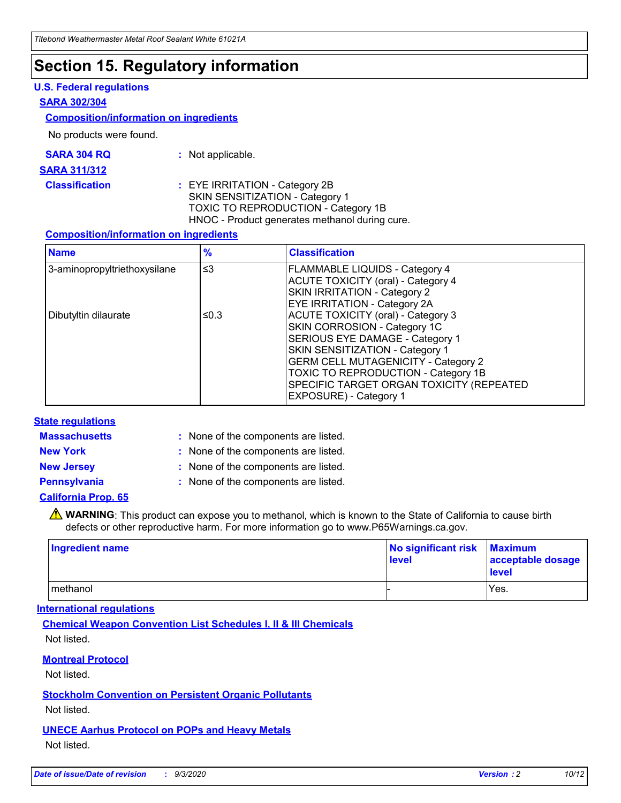## **Section 15. Regulatory information**

### **U.S. Federal regulations**

### **SARA 302/304**

### **Composition/information on ingredients**

No products were found.

| SARA 304 RQ | Not applicable. |
|-------------|-----------------|
|-------------|-----------------|

#### **SARA 311/312**

**Classification :** EYE IRRITATION - Category 2B SKIN SENSITIZATION - Category 1 TOXIC TO REPRODUCTION - Category 1B HNOC - Product generates methanol during cure.

### **Composition/information on ingredients**

| <b>Name</b>                  | $\frac{9}{6}$ | <b>Classification</b>                                                                                                                                                                                                                                                                                      |
|------------------------------|---------------|------------------------------------------------------------------------------------------------------------------------------------------------------------------------------------------------------------------------------------------------------------------------------------------------------------|
| 3-aminopropyltriethoxysilane | $\leq$ 3      | <b>FLAMMABLE LIQUIDS - Category 4</b><br><b>ACUTE TOXICITY (oral) - Category 4</b><br><b>SKIN IRRITATION - Category 2</b><br>EYE IRRITATION - Category 2A                                                                                                                                                  |
| Dibutyltin dilaurate         | ≤0.3          | <b>ACUTE TOXICITY (oral) - Category 3</b><br>SKIN CORROSION - Category 1C<br>SERIOUS EYE DAMAGE - Category 1<br>SKIN SENSITIZATION - Category 1<br><b>GERM CELL MUTAGENICITY - Category 2</b><br>TOXIC TO REPRODUCTION - Category 1B<br>SPECIFIC TARGET ORGAN TOXICITY (REPEATED<br>EXPOSURE) - Category 1 |

### **State regulations**

**Massachusetts :**

: None of the components are listed.

**New York :** None of the components are listed. **New Jersey :** None of the components are listed.

**Pennsylvania :** None of the components are listed.

### **California Prop. 65**

WARNING: This product can expose you to methanol, which is known to the State of California to cause birth defects or other reproductive harm. For more information go to www.P65Warnings.ca.gov.

| Ingredient name | No significant risk Maximum<br>level | acceptable dosage<br><b>level</b> |
|-----------------|--------------------------------------|-----------------------------------|
| I methanol      |                                      | Yes.                              |

### **International regulations**

**Chemical Weapon Convention List Schedules I, II & III Chemicals** Not listed.

**Montreal Protocol**

Not listed.

**Stockholm Convention on Persistent Organic Pollutants**

Not listed.

**UNECE Aarhus Protocol on POPs and Heavy Metals** Not listed.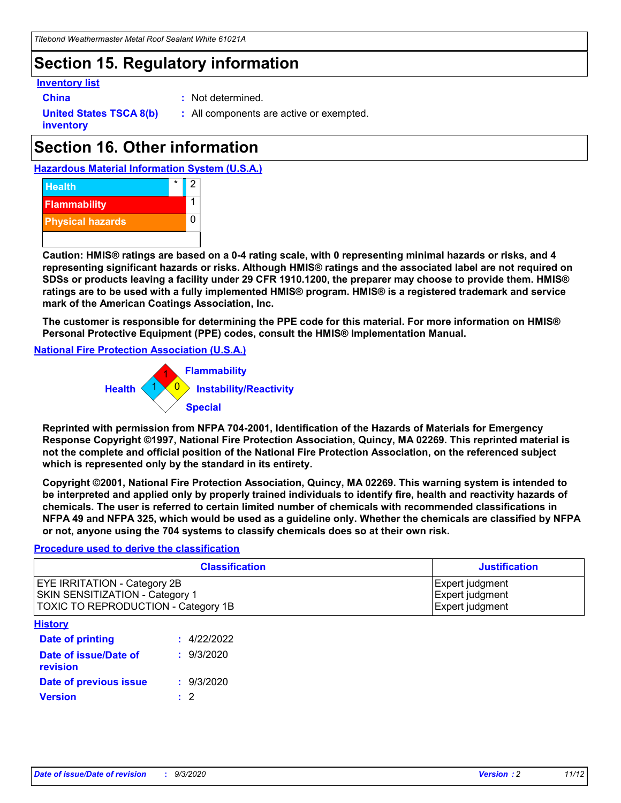## **Section 15. Regulatory information**

### **Inventory list**

- 
- **China :** Not determined.

**United States TSCA 8(b) inventory**

**:** All components are active or exempted.

## **Section 16. Other information**

**Hazardous Material Information System (U.S.A.)**



**Caution: HMIS® ratings are based on a 0-4 rating scale, with 0 representing minimal hazards or risks, and 4 representing significant hazards or risks. Although HMIS® ratings and the associated label are not required on SDSs or products leaving a facility under 29 CFR 1910.1200, the preparer may choose to provide them. HMIS® ratings are to be used with a fully implemented HMIS® program. HMIS® is a registered trademark and service mark of the American Coatings Association, Inc.**

**The customer is responsible for determining the PPE code for this material. For more information on HMIS® Personal Protective Equipment (PPE) codes, consult the HMIS® Implementation Manual.**

**National Fire Protection Association (U.S.A.)**



**Reprinted with permission from NFPA 704-2001, Identification of the Hazards of Materials for Emergency Response Copyright ©1997, National Fire Protection Association, Quincy, MA 02269. This reprinted material is not the complete and official position of the National Fire Protection Association, on the referenced subject which is represented only by the standard in its entirety.**

**Copyright ©2001, National Fire Protection Association, Quincy, MA 02269. This warning system is intended to be interpreted and applied only by properly trained individuals to identify fire, health and reactivity hazards of chemicals. The user is referred to certain limited number of chemicals with recommended classifications in NFPA 49 and NFPA 325, which would be used as a guideline only. Whether the chemicals are classified by NFPA or not, anyone using the 704 systems to classify chemicals does so at their own risk.**

### **Procedure used to derive the classification**

| <b>Classification</b>                                                                                                | <b>Justification</b>                                  |
|----------------------------------------------------------------------------------------------------------------------|-------------------------------------------------------|
| <b>EYE IRRITATION - Category 2B</b><br><b>SKIN SENSITIZATION - Category 1</b><br>TOXIC TO REPRODUCTION - Category 1B | Expert judgment<br>Expert judgment<br>Expert judgment |
| <b>History</b>                                                                                                       |                                                       |

| <b>Date of printing</b>           | : 4/22/2022 |
|-----------------------------------|-------------|
| Date of issue/Date of<br>revision | : 9/3/2020  |
| Date of previous issue            | : 9/3/2020  |
| <b>Version</b>                    | $\cdot$ 2   |
|                                   |             |